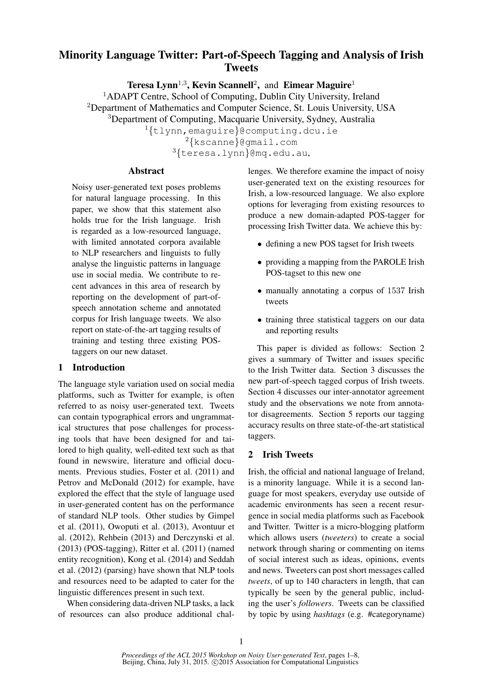# Minority Language Twitter: Part-of-Speech Tagging and Analysis of Irish **Tweets**

Teresa Lynn<sup>1,3</sup>, Kevin Scannell<sup>2</sup>, and Eimear Maguire<sup>1</sup>

<sup>1</sup>ADAPT Centre, School of Computing, Dublin City University, Ireland <sup>2</sup>Department of Mathematics and Computer Science, St. Louis University, USA

<sup>3</sup>Department of Computing, Macquarie University, Sydney, Australia

<sup>1</sup>{tlynn,emaguire}@computing.dcu.ie  $^{2}\{$ kscanne $\}$ @gmail.com

 $^3\{$ teresa.lynn $\}$ @mq.edu.au,

# Abstract

Noisy user-generated text poses problems for natural language processing. In this paper, we show that this statement also holds true for the Irish language. Irish is regarded as a low-resourced language, with limited annotated corpora available to NLP researchers and linguists to fully analyse the linguistic patterns in language use in social media. We contribute to recent advances in this area of research by reporting on the development of part-ofspeech annotation scheme and annotated corpus for Irish language tweets. We also report on state-of-the-art tagging results of training and testing three existing POStaggers on our new dataset.

# 1 Introduction

The language style variation used on social media platforms, such as Twitter for example, is often referred to as noisy user-generated text. Tweets can contain typographical errors and ungrammatical structures that pose challenges for processing tools that have been designed for and tailored to high quality, well-edited text such as that found in newswire, literature and official documents. Previous studies, Foster et al. (2011) and Petrov and McDonald (2012) for example, have explored the effect that the style of language used in user-generated content has on the performance of standard NLP tools. Other studies by Gimpel et al. (2011), Owoputi et al. (2013), Avontuur et al. (2012), Rehbein (2013) and Derczynski et al. (2013) (POS-tagging), Ritter et al. (2011) (named entity recognition), Kong et al. (2014) and Seddah et al. (2012) (parsing) have shown that NLP tools and resources need to be adapted to cater for the linguistic differences present in such text.

When considering data-driven NLP tasks, a lack of resources can also produce additional challenges. We therefore examine the impact of noisy user-generated text on the existing resources for Irish, a low-resourced language. We also explore options for leveraging from existing resources to produce a new domain-adapted POS-tagger for processing Irish Twitter data. We achieve this by:

- defining a new POS tagset for Irish tweets
- providing a mapping from the PAROLE Irish POS-tagset to this new one
- manually annotating a corpus of 1537 Irish tweets
- training three statistical taggers on our data and reporting results

This paper is divided as follows: Section 2 gives a summary of Twitter and issues specific to the Irish Twitter data. Section 3 discusses the new part-of-speech tagged corpus of Irish tweets. Section 4 discusses our inter-annotator agreement study and the observations we note from annotator disagreements. Section 5 reports our tagging accuracy results on three state-of-the-art statistical taggers.

# 2 Irish Tweets

Irish, the official and national language of Ireland, is a minority language. While it is a second language for most speakers, everyday use outside of academic environments has seen a recent resurgence in social media platforms such as Facebook and Twitter. Twitter is a micro-blogging platform which allows users (*tweeters*) to create a social network through sharing or commenting on items of social interest such as ideas, opinions, events and news. Tweeters can post short messages called *tweets*, of up to 140 characters in length, that can typically be seen by the general public, including the user's *followers*. Tweets can be classified by topic by using *hashtags* (e.g. #categoryname)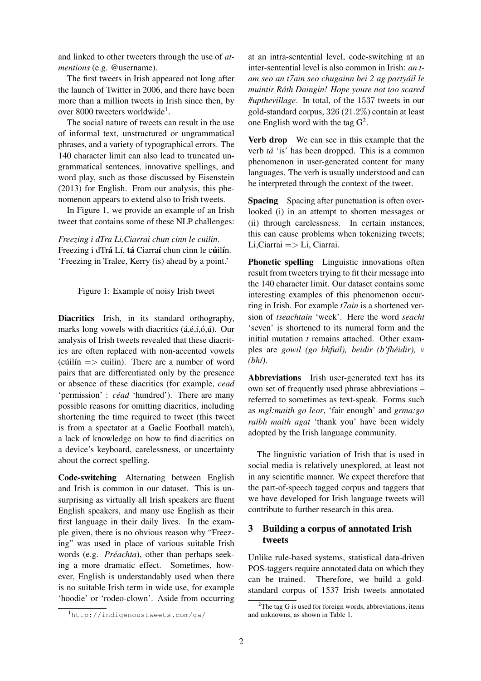and linked to other tweeters through the use of *atmentions* (e.g. @username).

The first tweets in Irish appeared not long after the launch of Twitter in 2006, and there have been more than a million tweets in Irish since then, by over 8000 tweeters worldwide<sup>1</sup>.

The social nature of tweets can result in the use of informal text, unstructured or ungrammatical phrases, and a variety of typographical errors. The 140 character limit can also lead to truncated ungrammatical sentences, innovative spellings, and word play, such as those discussed by Eisenstein (2013) for English. From our analysis, this phenomenon appears to extend also to Irish tweets.

In Figure 1, we provide an example of an Irish tweet that contains some of these NLP challenges:

*Freezing i dTra Li,Ciarrai chun cinn le cuilin*. Freezing i dTrá Lí, tá Ciarraí chun cinn le cúilín. 'Freezing in Tralee, Kerry (is) ahead by a point.'

#### Figure 1: Example of noisy Irish tweet

Diacritics Irish, in its standard orthography, marks long vowels with diacritics  $(\hat{a}, \hat{e}, \hat{i}, \hat{o}, \hat{u})$ . Our analysis of Irish tweets revealed that these diacritics are often replaced with non-accented vowels (cuil in  $\Rightarrow$  cuil in). There are a number of word pairs that are differentiated only by the presence or absence of these diacritics (for example, *cead* 'permission' : *cead ´* 'hundred'). There are many possible reasons for omitting diacritics, including shortening the time required to tweet (this tweet is from a spectator at a Gaelic Football match), a lack of knowledge on how to find diacritics on a device's keyboard, carelessness, or uncertainty about the correct spelling.

Code-switching Alternating between English and Irish is common in our dataset. This is unsurprising as virtually all Irish speakers are fluent English speakers, and many use English as their first language in their daily lives. In the example given, there is no obvious reason why "Freezing" was used in place of various suitable Irish words (e.g. *Préachta*), other than perhaps seeking a more dramatic effect. Sometimes, however, English is understandably used when there is no suitable Irish term in wide use, for example 'hoodie' or 'rodeo-clown'. Aside from occurring

at an intra-sentential level, code-switching at an inter-sentential level is also common in Irish: *an tam seo an t7ain seo chugainn bei 2 ag partyail le ´ muintir Rath Daingin! Hope youre not too scared ´ #upthevillage*. In total, of the 1537 tweets in our gold-standard corpus, 326 (21.2%) contain at least one English word with the tag  $G^2$ .

Verb drop We can see in this example that the verb *ta´* 'is' has been dropped. This is a common phenomenon in user-generated content for many languages. The verb is usually understood and can be interpreted through the context of the tweet.

Spacing Spacing after punctuation is often overlooked (i) in an attempt to shorten messages or (ii) through carelessness. In certain instances, this can cause problems when tokenizing tweets; Li,Ciarrai => Li, Ciarrai.

Phonetic spelling Linguistic innovations often result from tweeters trying to fit their message into the 140 character limit. Our dataset contains some interesting examples of this phenomenon occurring in Irish. For example *t7ain* is a shortened version of *tseachtain* 'week'. Here the word *seacht* 'seven' is shortened to its numeral form and the initial mutation *t* remains attached. Other examples are *gowil (go bhfuil), beidir (b'fheidir), v ´ (bh´ı)*.

Abbreviations Irish user-generated text has its own set of frequently used phrase abbreviations – referred to sometimes as text-speak. Forms such as *mgl:maith go leor*, 'fair enough' and *grma:go raibh maith agat* 'thank you' have been widely adopted by the Irish language community.

The linguistic variation of Irish that is used in social media is relatively unexplored, at least not in any scientific manner. We expect therefore that the part-of-speech tagged corpus and taggers that we have developed for Irish language tweets will contribute to further research in this area.

# 3 Building a corpus of annotated Irish tweets

Unlike rule-based systems, statistical data-driven POS-taggers require annotated data on which they can be trained. Therefore, we build a goldstandard corpus of 1537 Irish tweets annotated

<sup>1</sup>http://indigenoustweets.com/ga/

<sup>&</sup>lt;sup>2</sup>The tag G is used for foreign words, abbreviations, items and unknowns, as shown in Table 1.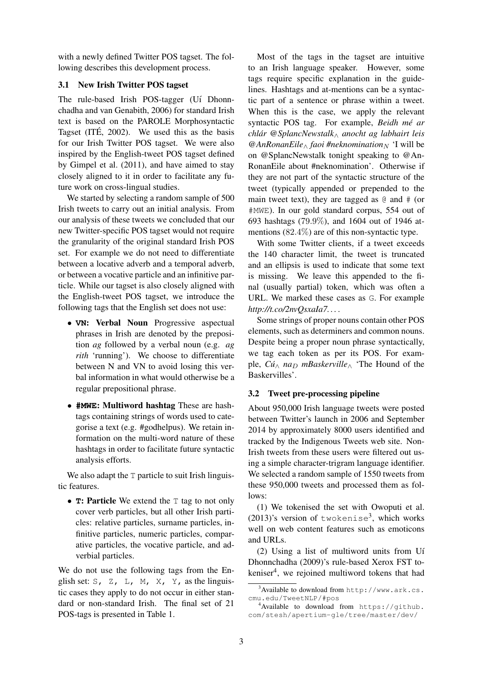with a newly defined Twitter POS tagset. The following describes this development process.

# 3.1 New Irish Twitter POS tagset

The rule-based Irish POS-tagger (Uí Dhonnchadha and van Genabith, 2006) for standard Irish text is based on the PAROLE Morphosyntactic Tagset (ITÉ, 2002). We used this as the basis for our Irish Twitter POS tagset. We were also inspired by the English-tweet POS tagset defined by Gimpel et al. (2011), and have aimed to stay closely aligned to it in order to facilitate any future work on cross-lingual studies.

We started by selecting a random sample of 500 Irish tweets to carry out an initial analysis. From our analysis of these tweets we concluded that our new Twitter-specific POS tagset would not require the granularity of the original standard Irish POS set. For example we do not need to differentiate between a locative adverb and a temporal adverb, or between a vocative particle and an infinitive particle. While our tagset is also closely aligned with the English-tweet POS tagset, we introduce the following tags that the English set does not use:

- **VN**: Verbal Noun Progressive aspectual phrases in Irish are denoted by the preposition *ag* followed by a verbal noun (e.g. *ag rith* 'running'). We choose to differentiate between N and VN to avoid losing this verbal information in what would otherwise be a regular prepositional phrase.
- **#MWE**: Multiword hashtag These are hashtags containing strings of words used to categorise a text (e.g. #godhelpus). We retain information on the multi-word nature of these hashtags in order to facilitate future syntactic analysis efforts.

We also adapt the  $T$  particle to suit Irish linguistic features.

• **T**: Particle We extend the T tag to not only cover verb particles, but all other Irish particles: relative particles, surname particles, infinitive particles, numeric particles, comparative particles, the vocative particle, and adverbial particles.

We do not use the following tags from the English set: S, Z, L, M, X, Y, as the linguistic cases they apply to do not occur in either standard or non-standard Irish. The final set of 21 POS-tags is presented in Table 1.

Most of the tags in the tagset are intuitive to an Irish language speaker. However, some tags require specific explanation in the guidelines. Hashtags and at-mentions can be a syntactic part of a sentence or phrase within a tweet. When this is the case, we apply the relevant syntactic POS tag. For example, *Beidh me ar ´ chlar @SplancNewstalk ´* <sup>∧</sup> *anocht ag labhairt leis @AnRonanEile faoi* #neknomination<sub>N</sub> 'I will be on @SplancNewstalk tonight speaking to @An-RonanEile about #neknomination'. Otherwise if they are not part of the syntactic structure of the tweet (typically appended or prepended to the main tweet text), they are tagged as  $\theta$  and  $\#$  (or #MWE). In our gold standard corpus, 554 out of 693 hashtags (79.9%), and 1604 out of 1946 atmentions (82.4%) are of this non-syntactic type.

With some Twitter clients, if a tweet exceeds the 140 character limit, the tweet is truncated and an ellipsis is used to indicate that some text is missing. We leave this appended to the final (usually partial) token, which was often a URL. We marked these cases as G. For example *http://t.co/2nvQsxaIa7. . .* .

Some strings of proper nouns contain other POS elements, such as determiners and common nouns. Despite being a proper noun phrase syntactically, we tag each token as per its POS. For example,  $C\mathcal{U}_{\wedge}$  *na*<sub>D</sub> *mBaskerville*  $\wedge$  'The Hound of the Baskervilles'.

# 3.2 Tweet pre-processing pipeline

About 950,000 Irish language tweets were posted between Twitter's launch in 2006 and September 2014 by approximately 8000 users identified and tracked by the Indigenous Tweets web site. Non-Irish tweets from these users were filtered out using a simple character-trigram language identifier. We selected a random sample of 1550 tweets from these 950,000 tweets and processed them as follows:

(1) We tokenised the set with Owoputi et al.  $(2013)$ 's version of twokenise<sup>3</sup>, which works well on web content features such as emoticons and URLs.

(2) Using a list of multiword units from Uí Dhonnchadha (2009)'s rule-based Xerox FST tokeniser<sup>4</sup>, we rejoined multiword tokens that had

<sup>&</sup>lt;sup>3</sup>Available to download from http://www.ark.cs. cmu.edu/TweetNLP/#pos

<sup>&</sup>lt;sup>4</sup>Available to download from  $https://github.$ com/stesh/apertium-gle/tree/master/dev/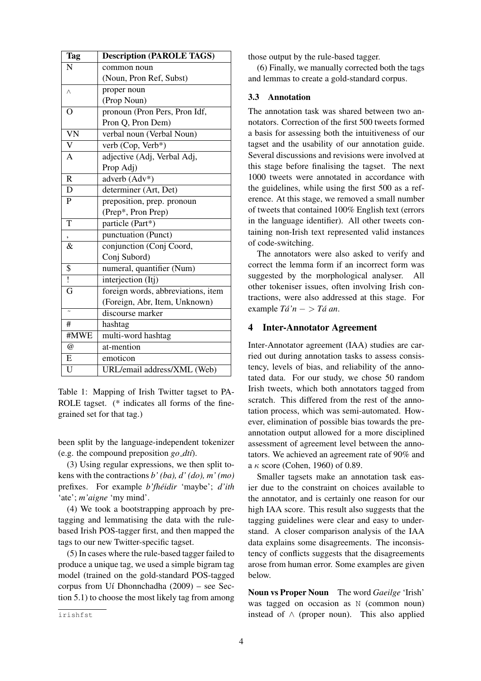| <b>Tag</b>             | <b>Description (PAROLE TAGS)</b>   |  |  |
|------------------------|------------------------------------|--|--|
| N                      | common noun                        |  |  |
|                        | (Noun, Pron Ref, Subst)            |  |  |
| Λ                      | proper noun                        |  |  |
|                        | (Prop Noun)                        |  |  |
| $\mathbf O$            | pronoun (Pron Pers, Pron Idf,      |  |  |
|                        | Pron Q, Pron Dem)                  |  |  |
| $\overline{\text{VN}}$ | verbal noun (Verbal Noun)          |  |  |
| $\overline{\rm v}$     | verb (Cop, Verb*)                  |  |  |
| $\overline{A}$         | adjective (Adj, Verbal Adj,        |  |  |
|                        | Prop Adj)                          |  |  |
| $\mathbf R$            | adverb (Adv*)                      |  |  |
| D                      | determiner (Art, Det)              |  |  |
| P                      | preposition, prep. pronoun         |  |  |
|                        | (Prep*, Pron Prep)                 |  |  |
| T                      | particle (Part*)                   |  |  |
|                        | punctuation (Punct)                |  |  |
| $\&$                   | conjunction (Conj Coord,           |  |  |
|                        | Conj Subord)                       |  |  |
| \$                     | numeral, quantifier (Num)          |  |  |
| $\overline{1}$         | interjection (Itj)                 |  |  |
| G                      | foreign words, abbreviations, item |  |  |
|                        | (Foreign, Abr, Item, Unknown)      |  |  |
| $\overline{ }$         | discourse marker                   |  |  |
| #                      | hashtag                            |  |  |
| #MWE                   | multi-word hashtag                 |  |  |
| @                      | at-mention                         |  |  |
| E                      | emoticon                           |  |  |
| U                      | URL/email address/XML (Web)        |  |  |

Table 1: Mapping of Irish Twitter tagset to PA-ROLE tagset. (\* indicates all forms of the finegrained set for that tag.)

been split by the language-independent tokenizer (e.g. the compound preposition *go dt´ı*).

(3) Using regular expressions, we then split tokens with the contractions *b' (ba), d' (do), m' (mo)* prefixes. For example *b'fhéidir* 'maybe'; *d'ith* 'ate'; *m'aigne* 'my mind'.

(4) We took a bootstrapping approach by pretagging and lemmatising the data with the rulebased Irish POS-tagger first, and then mapped the tags to our new Twitter-specific tagset.

(5) In cases where the rule-based tagger failed to produce a unique tag, we used a simple bigram tag model (trained on the gold-standard POS-tagged corpus from Uí Dhonnchadha (2009) – see Section 5.1) to choose the most likely tag from among those output by the rule-based tagger.

(6) Finally, we manually corrected both the tags and lemmas to create a gold-standard corpus.

# 3.3 Annotation

The annotation task was shared between two annotators. Correction of the first 500 tweets formed a basis for assessing both the intuitiveness of our tagset and the usability of our annotation guide. Several discussions and revisions were involved at this stage before finalising the tagset. The next 1000 tweets were annotated in accordance with the guidelines, while using the first 500 as a reference. At this stage, we removed a small number of tweets that contained 100% English text (errors in the language identifier). All other tweets containing non-Irish text represented valid instances of code-switching.

The annotators were also asked to verify and correct the lemma form if an incorrect form was suggested by the morphological analyser. All other tokeniser issues, often involving Irish contractions, were also addressed at this stage. For example  $Tá'n - > Tá an$ .

#### 4 Inter-Annotator Agreement

Inter-Annotator agreement (IAA) studies are carried out during annotation tasks to assess consistency, levels of bias, and reliability of the annotated data. For our study, we chose 50 random Irish tweets, which both annotators tagged from scratch. This differed from the rest of the annotation process, which was semi-automated. However, elimination of possible bias towards the preannotation output allowed for a more disciplined assessment of agreement level between the annotators. We achieved an agreement rate of 90% and a  $\kappa$  score (Cohen, 1960) of 0.89.

Smaller tagsets make an annotation task easier due to the constraint on choices available to the annotator, and is certainly one reason for our high IAA score. This result also suggests that the tagging guidelines were clear and easy to understand. A closer comparison analysis of the IAA data explains some disagreements. The inconsistency of conflicts suggests that the disagreements arose from human error. Some examples are given below.

Noun vs Proper Noun The word *Gaeilge* 'Irish' was tagged on occasion as N (common noun) instead of  $\land$  (proper noun). This also applied

irishfst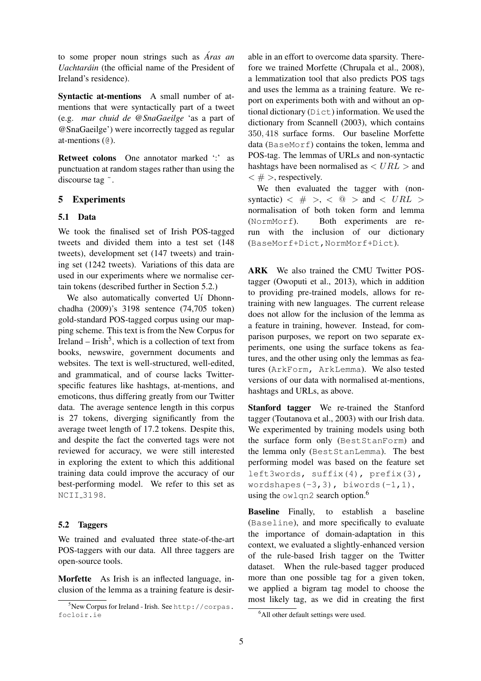to some proper noun strings such as *Aras an ´ Uachtaráin* (the official name of the President of Ireland's residence).

Syntactic at-mentions A small number of atmentions that were syntactically part of a tweet (e.g. *mar chuid de @SnaGaeilge* 'as a part of @SnaGaeilge') were incorrectly tagged as regular at-mentions (@).

Retweet colons One annotator marked ":" as punctuation at random stages rather than using the discourse tag ˜.

# 5 Experiments

### 5.1 Data

We took the finalised set of Irish POS-tagged tweets and divided them into a test set (148 tweets), development set (147 tweets) and training set (1242 tweets). Variations of this data are used in our experiments where we normalise certain tokens (described further in Section 5.2.)

We also automatically converted Uí Dhonnchadha (2009)'s 3198 sentence (74,705 token) gold-standard POS-tagged corpus using our mapping scheme. This text is from the New Corpus for Ireland  $-$  Irish<sup>5</sup>, which is a collection of text from books, newswire, government documents and websites. The text is well-structured, well-edited, and grammatical, and of course lacks Twitterspecific features like hashtags, at-mentions, and emoticons, thus differing greatly from our Twitter data. The average sentence length in this corpus is 27 tokens, diverging significantly from the average tweet length of 17.2 tokens. Despite this, and despite the fact the converted tags were not reviewed for accuracy, we were still interested in exploring the extent to which this additional training data could improve the accuracy of our best-performing model. We refer to this set as NCII 3198.

# 5.2 Taggers

We trained and evaluated three state-of-the-art POS-taggers with our data. All three taggers are open-source tools.

Morfette As Irish is an inflected language, inclusion of the lemma as a training feature is desir-

able in an effort to overcome data sparsity. Therefore we trained Morfette (Chrupala et al., 2008), a lemmatization tool that also predicts POS tags and uses the lemma as a training feature. We report on experiments both with and without an optional dictionary (Dict) information. We used the dictionary from Scannell (2003), which contains 350, 418 surface forms. Our baseline Morfette data (BaseMorf) contains the token, lemma and POS-tag. The lemmas of URLs and non-syntactic hashtags have been normalised as  $\langle URL \rangle$  and  $\langle \# \rangle$ , respectively.

We then evaluated the tagger with (nonsyntactic)  $\langle # \rangle$ ,  $\langle @>$  and  $\langle URL \rangle$ normalisation of both token form and lemma (NormMorf). Both experiments are rerun with the inclusion of our dictionary (BaseMorf+Dict,NormMorf+Dict).

ARK We also trained the CMU Twitter POStagger (Owoputi et al., 2013), which in addition to providing pre-trained models, allows for retraining with new languages. The current release does not allow for the inclusion of the lemma as a feature in training, however. Instead, for comparison purposes, we report on two separate experiments, one using the surface tokens as features, and the other using only the lemmas as features (ArkForm, ArkLemma). We also tested versions of our data with normalised at-mentions, hashtags and URLs, as above.

Stanford tagger We re-trained the Stanford tagger (Toutanova et al., 2003) with our Irish data. We experimented by training models using both the surface form only (BestStanForm) and the lemma only (BestStanLemma). The best performing model was based on the feature set left3words, suffix(4), prefix(3), wordshapes $(-3,3)$ , biwords $(-1,1)$ , using the  $\omega$ lqn2 search option.<sup>6</sup>

Baseline Finally, to establish a baseline (Baseline), and more specifically to evaluate the importance of domain-adaptation in this context, we evaluated a slightly-enhanced version of the rule-based Irish tagger on the Twitter dataset. When the rule-based tagger produced more than one possible tag for a given token, we applied a bigram tag model to choose the most likely tag, as we did in creating the first

 $5$ New Corpus for Ireland - Irish. See http://corpas. focloir.ie

<sup>&</sup>lt;sup>6</sup>All other default settings were used.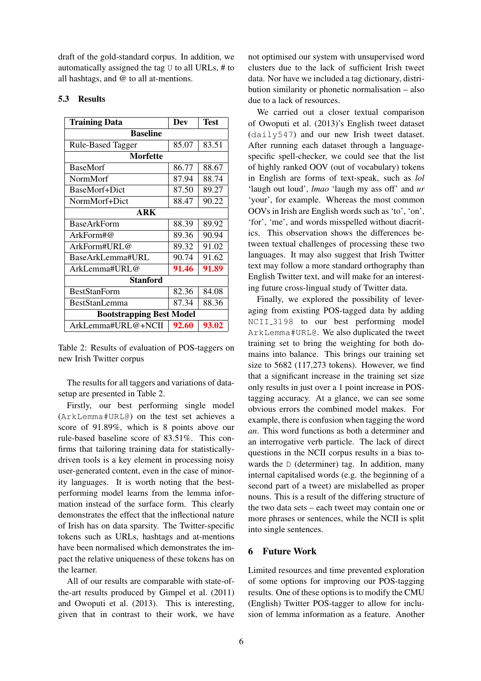draft of the gold-standard corpus. In addition, we automatically assigned the tag U to all URLs, # to all hashtags, and @ to all at-mentions.

#### 5.3 Results

| <b>Training Data</b>            | Dev   | <b>Test</b> |  |
|---------------------------------|-------|-------------|--|
| <b>Baseline</b>                 |       |             |  |
| <b>Rule-Based Tagger</b>        | 85.07 | 83.51       |  |
| <b>Morfette</b>                 |       |             |  |
| <b>BaseMorf</b>                 | 86.77 | 88.67       |  |
| NormMorf                        | 87.94 | 88.74       |  |
| BaseMorf+Dict                   | 87.50 | 89.27       |  |
| NormMorf+Dict                   | 88.47 | 90.22       |  |
| ARK                             |       |             |  |
| <b>BaseArkForm</b>              | 88.39 | 89.92       |  |
| ArkForm#@                       | 89.36 | 90.94       |  |
| ArkForm#URL@                    | 89.32 | 91.02       |  |
| BaseArkLemma#URL                | 90.74 | 91.62       |  |
| ArkLemma#URL@                   | 91.46 | 91.89       |  |
| <b>Stanford</b>                 |       |             |  |
| <b>BestStanForm</b>             | 82.36 | 84.08       |  |
| BestStanLemma                   | 87.34 | 88.36       |  |
| <b>Bootstrapping Best Model</b> |       |             |  |
| ArkLemma#URL@+NCII              | 92.60 | 93.02       |  |

Table 2: Results of evaluation of POS-taggers on new Irish Twitter corpus

The results for all taggers and variations of datasetup are presented in Table 2.

Firstly, our best performing single model (ArkLemma#URL@) on the test set achieves a score of 91.89%, which is 8 points above our rule-based baseline score of 83.51%. This confirms that tailoring training data for statisticallydriven tools is a key element in processing noisy user-generated content, even in the case of minority languages. It is worth noting that the bestperforming model learns from the lemma information instead of the surface form. This clearly demonstrates the effect that the inflectional nature of Irish has on data sparsity. The Twitter-specific tokens such as URLs, hashtags and at-mentions have been normalised which demonstrates the impact the relative uniqueness of these tokens has on the learner.

All of our results are comparable with state-ofthe-art results produced by Gimpel et al. (2011) and Owoputi et al. (2013). This is interesting, given that in contrast to their work, we have

not optimised our system with unsupervised word clusters due to the lack of sufficient Irish tweet data. Nor have we included a tag dictionary, distribution similarity or phonetic normalisation – also due to a lack of resources.

We carried out a closer textual comparison of Owoputi et al. (2013)'s English tweet dataset (daily547) and our new Irish tweet dataset. After running each dataset through a languagespecific spell-checker, we could see that the list of highly ranked OOV (out of vocabulary) tokens in English are forms of text-speak, such as *lol* 'laugh out loud', *lmao* 'laugh my ass off' and *ur* 'your', for example. Whereas the most common OOVs in Irish are English words such as 'to', 'on', 'for', 'me', and words misspelled without diacritics. This observation shows the differences between textual challenges of processing these two languages. It may also suggest that Irish Twitter text may follow a more standard orthography than English Twitter text, and will make for an interesting future cross-lingual study of Twitter data.

Finally, we explored the possibility of leveraging from existing POS-tagged data by adding NCII 3198 to our best performing model ArkLemma#URL@. We also duplicated the tweet training set to bring the weighting for both domains into balance. This brings our training set size to 5682 (117,273 tokens). However, we find that a significant increase in the training set size only results in just over a 1 point increase in POStagging accuracy. At a glance, we can see some obvious errors the combined model makes. For example, there is confusion when tagging the word *an*. This word functions as both a determiner and an interrogative verb particle. The lack of direct questions in the NCII corpus results in a bias towards the D (determiner) tag. In addition, many internal capitalised words (e.g. the beginning of a second part of a tweet) are mislabelled as proper nouns. This is a result of the differing structure of the two data sets – each tweet may contain one or more phrases or sentences, while the NCII is split into single sentences.

#### 6 Future Work

Limited resources and time prevented exploration of some options for improving our POS-tagging results. One of these options is to modify the CMU (English) Twitter POS-tagger to allow for inclusion of lemma information as a feature. Another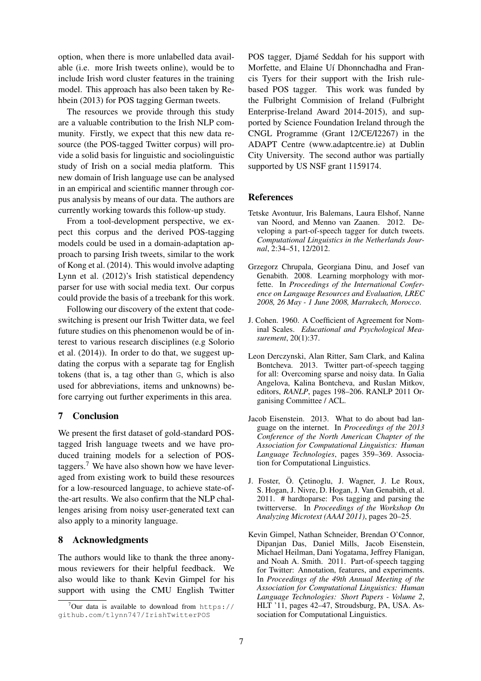option, when there is more unlabelled data available (i.e. more Irish tweets online), would be to include Irish word cluster features in the training model. This approach has also been taken by Rehbein (2013) for POS tagging German tweets.

The resources we provide through this study are a valuable contribution to the Irish NLP community. Firstly, we expect that this new data resource (the POS-tagged Twitter corpus) will provide a solid basis for linguistic and sociolinguistic study of Irish on a social media platform. This new domain of Irish language use can be analysed in an empirical and scientific manner through corpus analysis by means of our data. The authors are currently working towards this follow-up study.

From a tool-development perspective, we expect this corpus and the derived POS-tagging models could be used in a domain-adaptation approach to parsing Irish tweets, similar to the work of Kong et al. (2014). This would involve adapting Lynn et al. (2012)'s Irish statistical dependency parser for use with social media text. Our corpus could provide the basis of a treebank for this work.

Following our discovery of the extent that codeswitching is present our Irish Twitter data, we feel future studies on this phenomenon would be of interest to various research disciplines (e.g Solorio et al. (2014)). In order to do that, we suggest updating the corpus with a separate tag for English tokens (that is, a tag other than G, which is also used for abbreviations, items and unknowns) before carrying out further experiments in this area.

# 7 Conclusion

We present the first dataset of gold-standard POStagged Irish language tweets and we have produced training models for a selection of POStaggers.<sup>7</sup> We have also shown how we have leveraged from existing work to build these resources for a low-resourced language, to achieve state-ofthe-art results. We also confirm that the NLP challenges arising from noisy user-generated text can also apply to a minority language.

# 8 Acknowledgments

The authors would like to thank the three anonymous reviewers for their helpful feedback. We also would like to thank Kevin Gimpel for his support with using the CMU English Twitter

POS tagger, Djamé Seddah for his support with Morfette, and Elaine Uí Dhonnchadha and Francis Tyers for their support with the Irish rulebased POS tagger. This work was funded by the Fulbright Commision of Ireland (Fulbright Enterprise-Ireland Award 2014-2015), and supported by Science Foundation Ireland through the CNGL Programme (Grant 12/CE/I2267) in the ADAPT Centre (www.adaptcentre.ie) at Dublin City University. The second author was partially supported by US NSF grant 1159174.

# References

- Tetske Avontuur, Iris Balemans, Laura Elshof, Nanne van Noord, and Menno van Zaanen. 2012. Developing a part-of-speech tagger for dutch tweets. *Computational Linguistics in the Netherlands Journal*, 2:34–51, 12/2012.
- Grzegorz Chrupala, Georgiana Dinu, and Josef van Genabith. 2008. Learning morphology with morfette. In *Proceedings of the International Conference on Language Resources and Evaluation, LREC 2008, 26 May - 1 June 2008, Marrakech, Morocco*.
- J. Cohen. 1960. A Coefficient of Agreement for Nominal Scales. *Educational and Psychological Measurement*, 20(1):37.
- Leon Derczynski, Alan Ritter, Sam Clark, and Kalina Bontcheva. 2013. Twitter part-of-speech tagging for all: Overcoming sparse and noisy data. In Galia Angelova, Kalina Bontcheva, and Ruslan Mitkov, editors, *RANLP*, pages 198–206. RANLP 2011 Organising Committee / ACL.
- Jacob Eisenstein. 2013. What to do about bad language on the internet. In *Proceedings of the 2013 Conference of the North American Chapter of the Association for Computational Linguistics: Human Language Technologies*, pages 359–369. Association for Computational Linguistics.
- J. Foster, Ö. Çetinoglu, J. Wagner, J. Le Roux, S. Hogan, J. Nivre, D. Hogan, J. Van Genabith, et al. 2011. # hardtoparse: Pos tagging and parsing the twitterverse. In *Proceedings of the Workshop On Analyzing Microtext (AAAI 2011)*, pages 20–25.
- Kevin Gimpel, Nathan Schneider, Brendan O'Connor, Dipanjan Das, Daniel Mills, Jacob Eisenstein, Michael Heilman, Dani Yogatama, Jeffrey Flanigan, and Noah A. Smith. 2011. Part-of-speech tagging for Twitter: Annotation, features, and experiments. In *Proceedings of the 49th Annual Meeting of the Association for Computational Linguistics: Human Language Technologies: Short Papers - Volume 2*, HLT '11, pages 42–47, Stroudsburg, PA, USA. Association for Computational Linguistics.

 $^7$ Our data is available to download from https:// github.com/tlynn747/IrishTwitterPOS